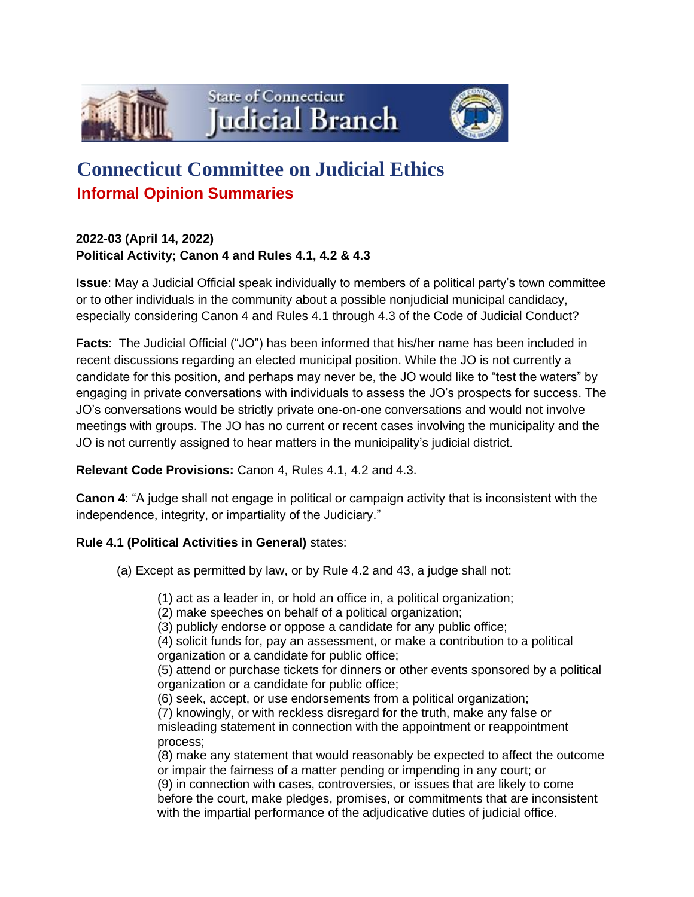





# **Connecticut Committee on Judicial Ethics Informal Opinion Summaries**

**2022-03 (April 14, 2022) Political Activity; Canon 4 and Rules 4.1, 4.2 & 4.3**

**Issue**: May a Judicial Official speak individually to members of a political party's town committee or to other individuals in the community about a possible nonjudicial municipal candidacy, especially considering Canon 4 and Rules 4.1 through 4.3 of the Code of Judicial Conduct?

**Facts**: The Judicial Official ("JO") has been informed that his/her name has been included in recent discussions regarding an elected municipal position. While the JO is not currently a candidate for this position, and perhaps may never be, the JO would like to "test the waters" by engaging in private conversations with individuals to assess the JO's prospects for success. The JO's conversations would be strictly private one-on-one conversations and would not involve meetings with groups. The JO has no current or recent cases involving the municipality and the JO is not currently assigned to hear matters in the municipality's judicial district.

### **Relevant Code Provisions:** Canon 4, Rules 4.1, 4.2 and 4.3.

**Canon 4**: "A judge shall not engage in political or campaign activity that is inconsistent with the independence, integrity, or impartiality of the Judiciary."

## **Rule 4.1 (Political Activities in General)** states:

(a) Except as permitted by law, or by Rule 4.2 and 43, a judge shall not:

(1) act as a leader in, or hold an office in, a political organization;

(2) make speeches on behalf of a political organization;

(3) publicly endorse or oppose a candidate for any public office;

(4) solicit funds for, pay an assessment, or make a contribution to a political organization or a candidate for public office;

(5) attend or purchase tickets for dinners or other events sponsored by a political organization or a candidate for public office;

(6) seek, accept, or use endorsements from a political organization;

(7) knowingly, or with reckless disregard for the truth, make any false or misleading statement in connection with the appointment or reappointment process;

(8) make any statement that would reasonably be expected to affect the outcome or impair the fairness of a matter pending or impending in any court; or (9) in connection with cases, controversies, or issues that are likely to come before the court, make pledges, promises, or commitments that are inconsistent with the impartial performance of the adjudicative duties of judicial office.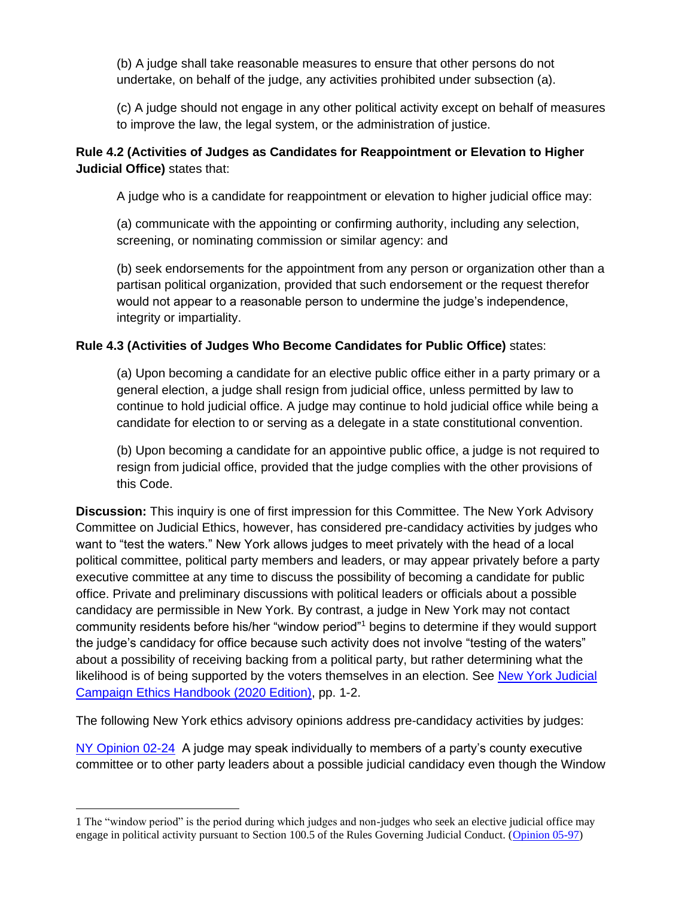(b) A judge shall take reasonable measures to ensure that other persons do not undertake, on behalf of the judge, any activities prohibited under subsection (a).

(c) A judge should not engage in any other political activity except on behalf of measures to improve the law, the legal system, or the administration of justice.

## **Rule 4.2 (Activities of Judges as Candidates for Reappointment or Elevation to Higher Judicial Office)** states that:

A judge who is a candidate for reappointment or elevation to higher judicial office may:

(a) communicate with the appointing or confirming authority, including any selection, screening, or nominating commission or similar agency: and

(b) seek endorsements for the appointment from any person or organization other than a partisan political organization, provided that such endorsement or the request therefor would not appear to a reasonable person to undermine the judge's independence, integrity or impartiality.

### **Rule 4.3 (Activities of Judges Who Become Candidates for Public Office)** states:

(a) Upon becoming a candidate for an elective public office either in a party primary or a general election, a judge shall resign from judicial office, unless permitted by law to continue to hold judicial office. A judge may continue to hold judicial office while being a candidate for election to or serving as a delegate in a state constitutional convention.

(b) Upon becoming a candidate for an appointive public office, a judge is not required to resign from judicial office, provided that the judge complies with the other provisions of this Code.

**Discussion:** This inquiry is one of first impression for this Committee. The New York Advisory Committee on Judicial Ethics, however, has considered pre-candidacy activities by judges who want to "test the waters." New York allows judges to meet privately with the head of a local political committee, political party members and leaders, or may appear privately before a party executive committee at any time to discuss the possibility of becoming a candidate for public office. Private and preliminary discussions with political leaders or officials about a possible candidacy are permissible in New York. By contrast, a judge in New York may not contact community residents before his/her "window period"<sup>1</sup> begins to determine if they would support the judge's candidacy for office because such activity does not involve "testing of the waters" about a possibility of receiving backing from a political party, but rather determining what the likelihood is of being supported by the voters themselves in an election. See [New York Judicial](https://www.nycourts.gov/legacyPDFs/ip/jcec/2020-Judicial-Campaign-Ethics-Handbook.pdf)  [Campaign Ethics Handbook \(2020 Edition\),](https://www.nycourts.gov/legacyPDFs/ip/jcec/2020-Judicial-Campaign-Ethics-Handbook.pdf) pp. 1-2.

The following New York ethics advisory opinions address pre-candidacy activities by judges:

[NY Opinion 02-24](https://www.nycourts.gov/ipjudicialethicsopinions/02-34.htm) A judge may speak individually to members of a party's county executive committee or to other party leaders about a possible judicial candidacy even though the Window

<sup>1</sup> The "window period" is the period during which judges and non-judges who seek an elective judicial office may engage in political activity pursuant to Section 100.5 of the Rules Governing Judicial Conduct. [\(Opinion 05-97\)](https://www.nycourts.gov/ipjudicialethicsopinions/05-97.htm)